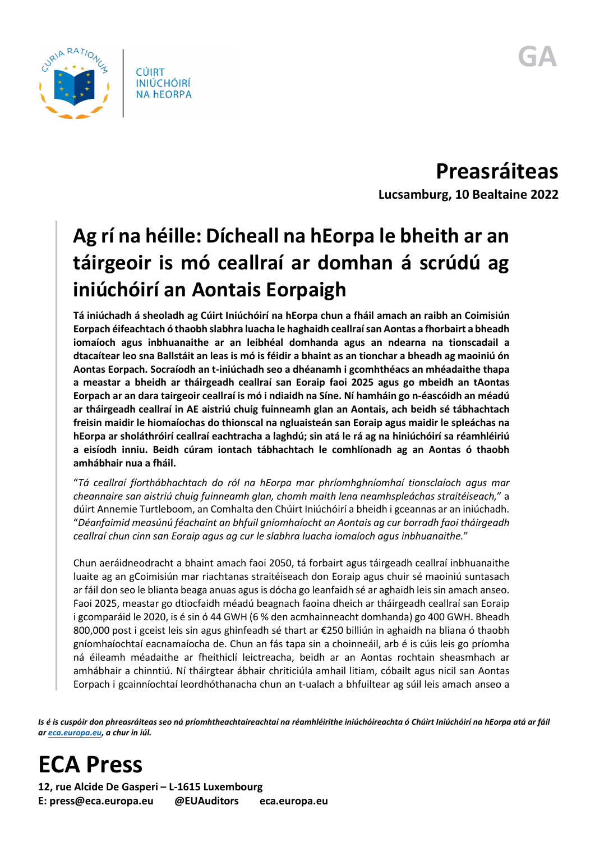

**CÚIRT INIÚCHÓIRÍ NA hEORPA** 

**Preasráiteas Lucsamburg, 10 Bealtaine 2022**

## **Ag rí na héille: Dícheall na hEorpa le bheith ar an táirgeoir is mó ceallraí ar domhan á scrúdú ag iniúchóirí an Aontais Eorpaigh**

**Tá iniúchadh á sheoladh ag Cúirt Iniúchóirí na hEorpa chun a fháil amach an raibh an Coimisiún Eorpach éifeachtach ó thaobh slabhra luacha le haghaidh ceallraí san Aontas a fhorbairt a bheadh iomaíoch agus inbhuanaithe ar an leibhéal domhanda agus an ndearna na tionscadail a dtacaítear leo sna Ballstáit an leas is mó is féidir a bhaint as an tionchar a bheadh ag maoiniú ón Aontas Eorpach. Socraíodh an t-iniúchadh seo a dhéanamh i gcomhthéacs an mhéadaithe thapa a meastar a bheidh ar tháirgeadh ceallraí san Eoraip faoi 2025 agus go mbeidh an tAontas Eorpach ar an dara tairgeoir ceallraí is mó i ndiaidh na Síne. Ní hamháin go n-éascóidh an méadú ar tháirgeadh ceallraí in AE aistriú chuig fuinneamh glan an Aontais, ach beidh sé tábhachtach freisin maidir le hiomaíochas do thionscal na ngluaisteán san Eoraip agus maidir le spleáchas na hEorpa ar sholáthróirí ceallraí eachtracha a laghdú; sin atá le rá ag na hiniúchóirí sa réamhléiriú a eisíodh inniu. Beidh cúram iontach tábhachtach le comhlíonadh ag an Aontas ó thaobh amhábhair nua a fháil.**

"*Tá ceallraí fíorthábhachtach do ról na hEorpa mar phríomhghníomhaí tionsclaíoch agus mar cheannaire san aistriú chuig fuinneamh glan, chomh maith lena neamhspleáchas straitéiseach,*" a dúirt Annemie Turtleboom, an Comhalta den Chúirt Iniúchóirí a bheidh i gceannas ar an iniúchadh. "*Déanfaimid measúnú féachaint an bhfuil gníomhaíocht an Aontais ag cur borradh faoi tháirgeadh ceallraí chun cinn san Eoraip agus ag cur le slabhra luacha iomaíoch agus inbhuanaithe.*"

Chun aeráidneodracht a bhaint amach faoi 2050, tá forbairt agus táirgeadh ceallraí inbhuanaithe luaite ag an gCoimisiún mar riachtanas straitéiseach don Eoraip agus chuir sé maoiniú suntasach ar fáil don seo le blianta beaga anuas agus is dócha go leanfaidh sé ar aghaidh leis sin amach anseo. Faoi 2025, meastar go dtiocfaidh méadú beagnach faoina dheich ar tháirgeadh ceallraí san Eoraip i gcomparáid le 2020, is é sin ó 44 GWH (6 % den acmhainneacht domhanda) go 400 GWH. Bheadh 800,000 post i gceist leis sin agus ghinfeadh sé thart ar €250 billiún in aghaidh na bliana ó thaobh gníomhaíochtaí eacnamaíocha de. Chun an fás tapa sin a choinneáil, arb é is cúis leis go príomha ná éileamh méadaithe ar fheithiclí leictreacha, beidh ar an Aontas rochtain sheasmhach ar amhábhair a chinntiú. Ní tháirgtear ábhair chriticiúla amhail litiam, cóbailt agus nicil san Aontas Eorpach i gcainníochtaí leordhóthanacha chun an t-ualach a bhfuiltear ag súil leis amach anseo a

*Is é is cuspóir don phreasráiteas seo ná príomhtheachtaireachtaí na réamhléirithe iniúchóireachta ó Chúirt Iniúchóirí na hEorpa atá ar fáil a[r eca.europa.eu,](https://www.eca.europa.eu/) a chur in iúl.*

**ECA Press**

**12, rue Alcide De Gasperi – L-1615 Luxembourg E: press@eca.europa.eu @EUAuditors eca.europa.eu**